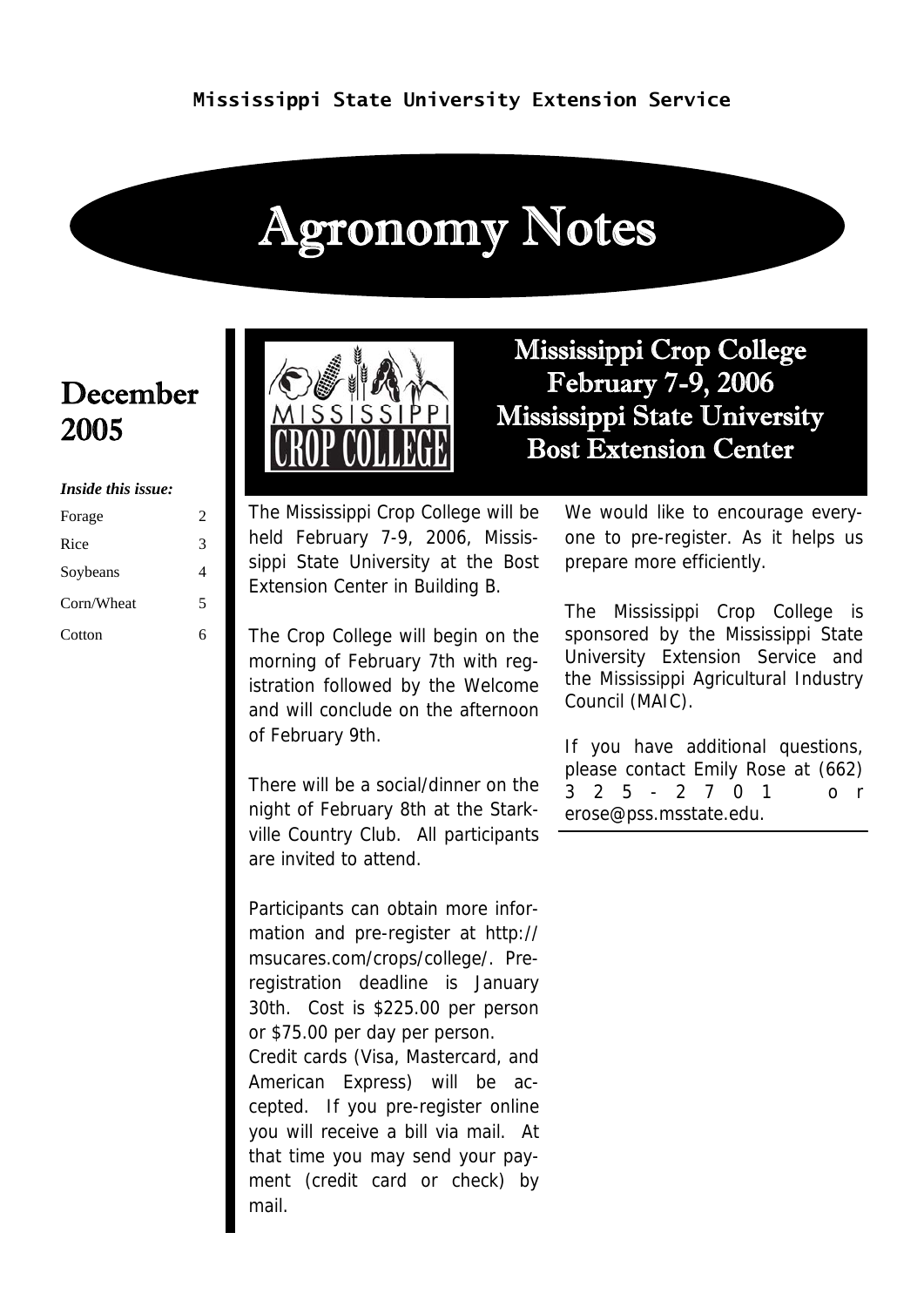# Agronomy Notes

### December 2005

#### *Inside this issue:*

| Forage     | 2 |
|------------|---|
| Rice       | 3 |
| Soybeans   | 4 |
| Corn/Wheat | 5 |
| Cotton     |   |



Mississippi Crop College February 7-9, 2006 Mississippi State University Bost Extension Center

The Mississippi Crop College will be held February 7-9, 2006, Mississippi State University at the Bost Extension Center in Building B.

The Crop College will begin on the morning of February 7th with registration followed by the Welcome and will conclude on the afternoon of February 9th.

There will be a social/dinner on the night of February 8th at the Starkville Country Club. All participants are invited to attend.

Participants can obtain more information and pre-register at http:// msucares.com/crops/college/. Preregistration deadline is January 30th. Cost is \$225.00 per person or \$75.00 per day per person. Credit cards (Visa, Mastercard, and American Express) will be accepted. If you pre-register online you will receive a bill via mail. At that time you may send your payment (credit card or check) by mail.

We would like to encourage everyone to pre-register. As it helps us prepare more efficiently.

The Mississippi Crop College is sponsored by the Mississippi State University Extension Service and the Mississippi Agricultural Industry Council (MAIC).

If you have additional questions, please contact Emily Rose at (662) 3 2 5 - 2 7 0 1 o r erose@pss.msstate.edu.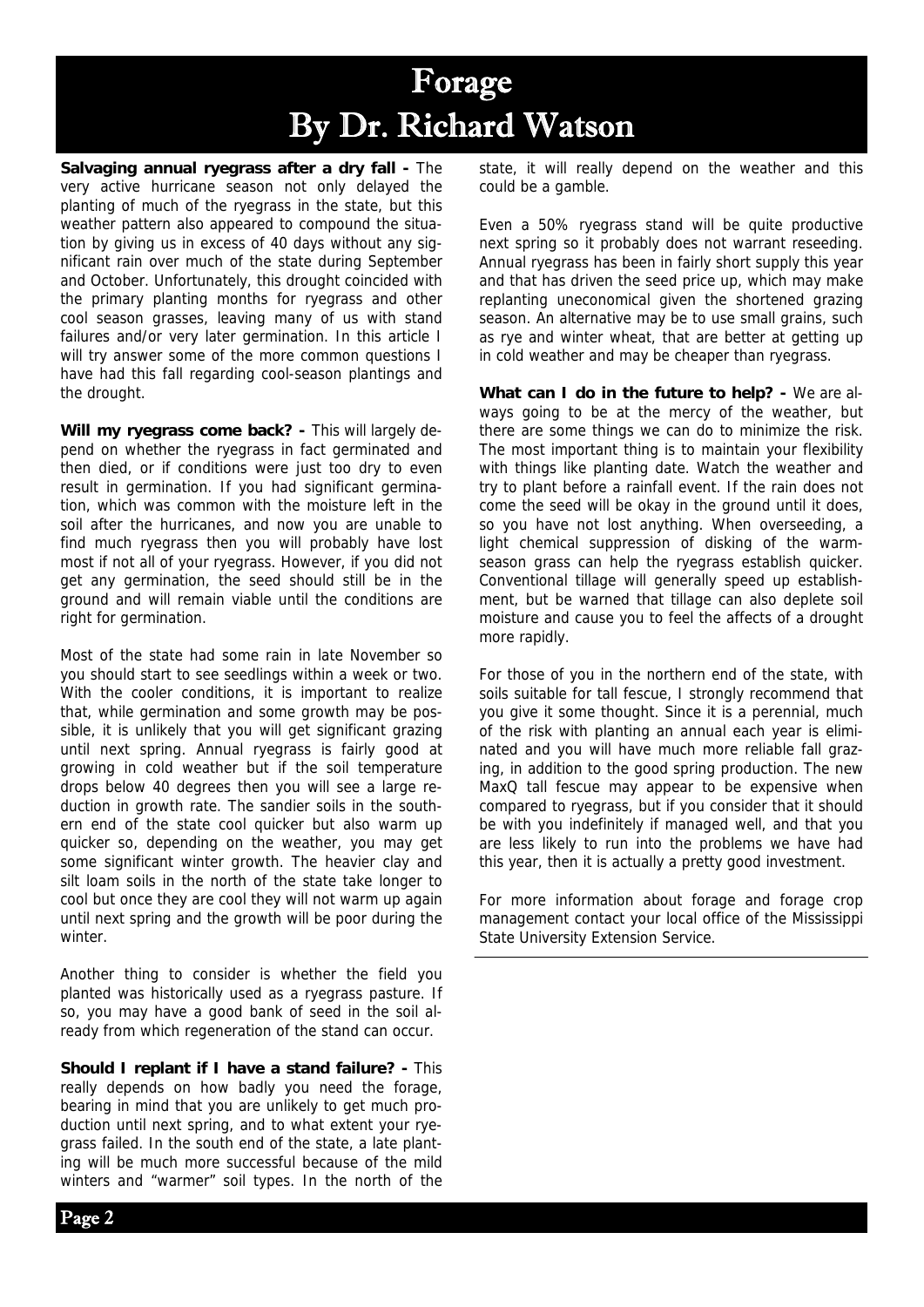### Forage By Dr. Richard Watson

**Salvaging annual ryegrass after a dry fall -** The very active hurricane season not only delayed the planting of much of the ryegrass in the state, but this weather pattern also appeared to compound the situation by giving us in excess of 40 days without any significant rain over much of the state during September and October. Unfortunately, this drought coincided with the primary planting months for ryegrass and other cool season grasses, leaving many of us with stand failures and/or very later germination. In this article I will try answer some of the more common questions I have had this fall regarding cool-season plantings and the drought.

**Will my ryegrass come back? -** This will largely depend on whether the ryegrass in fact germinated and then died, or if conditions were just too dry to even result in germination. If you had significant germination, which was common with the moisture left in the soil after the hurricanes, and now you are unable to find much ryegrass then you will probably have lost most if not all of your ryegrass. However, if you did not get any germination, the seed should still be in the ground and will remain viable until the conditions are right for germination.

Most of the state had some rain in late November so you should start to see seedlings within a week or two. With the cooler conditions, it is important to realize that, while germination and some growth may be possible, it is unlikely that you will get significant grazing until next spring. Annual ryegrass is fairly good at growing in cold weather but if the soil temperature drops below 40 degrees then you will see a large reduction in growth rate. The sandier soils in the southern end of the state cool quicker but also warm up quicker so, depending on the weather, you may get some significant winter growth. The heavier clay and silt loam soils in the north of the state take longer to cool but once they are cool they will not warm up again until next spring and the growth will be poor during the winter.

Another thing to consider is whether the field you planted was historically used as a ryegrass pasture. If so, you may have a good bank of seed in the soil already from which regeneration of the stand can occur.

**Should I replant if I have a stand failure? -** This really depends on how badly you need the forage, bearing in mind that you are unlikely to get much production until next spring, and to what extent your ryegrass failed. In the south end of the state, a late planting will be much more successful because of the mild winters and "warmer" soil types. In the north of the state, it will really depend on the weather and this could be a gamble.

Even a 50% ryegrass stand will be quite productive next spring so it probably does not warrant reseeding. Annual ryegrass has been in fairly short supply this year and that has driven the seed price up, which may make replanting uneconomical given the shortened grazing season. An alternative may be to use small grains, such as rye and winter wheat, that are better at getting up in cold weather and may be cheaper than ryegrass.

**What can I do in the future to help? -** We are always going to be at the mercy of the weather, but there are some things we can do to minimize the risk. The most important thing is to maintain your flexibility with things like planting date. Watch the weather and try to plant before a rainfall event. If the rain does not come the seed will be okay in the ground until it does, so you have not lost anything. When overseeding, a light chemical suppression of disking of the warmseason grass can help the ryegrass establish quicker. Conventional tillage will generally speed up establishment, but be warned that tillage can also deplete soil moisture and cause you to feel the affects of a drought more rapidly.

For those of you in the northern end of the state, with soils suitable for tall fescue, I strongly recommend that you give it some thought. Since it is a perennial, much of the risk with planting an annual each year is eliminated and you will have much more reliable fall grazing, in addition to the good spring production. The new MaxQ tall fescue may appear to be expensive when compared to ryegrass, but if you consider that it should be with you indefinitely if managed well, and that you are less likely to run into the problems we have had this year, then it is actually a pretty good investment.

For more information about forage and forage crop management contact your local office of the Mississippi State University Extension Service.

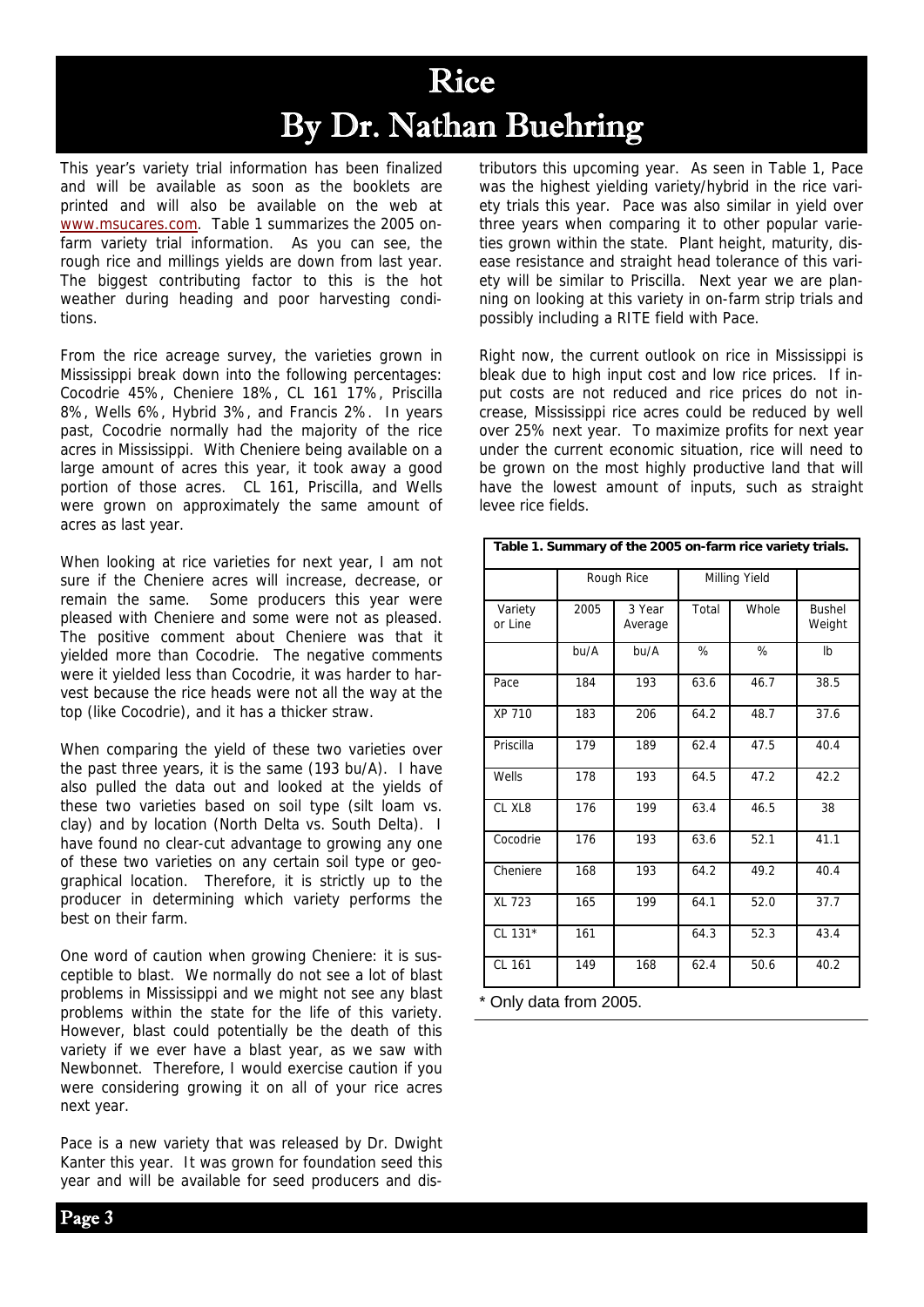## Rice By Dr. Nathan Buehring

This year's variety trial information has been finalized and will be available as soon as the booklets are printed and will also be available on the web at www.msucares.com. Table 1 summarizes the 2005 onfarm variety trial information. As you can see, the rough rice and millings yields are down from last year. The biggest contributing factor to this is the hot weather during heading and poor harvesting conditions.

From the rice acreage survey, the varieties grown in Mississippi break down into the following percentages: Cocodrie 45%, Cheniere 18%, CL 161 17%, Priscilla 8%, Wells 6%, Hybrid 3%, and Francis 2%. In years past, Cocodrie normally had the majority of the rice acres in Mississippi. With Cheniere being available on a large amount of acres this year, it took away a good portion of those acres. CL 161, Priscilla, and Wells were grown on approximately the same amount of acres as last year.

When looking at rice varieties for next year, I am not sure if the Cheniere acres will increase, decrease, or remain the same. Some producers this year were pleased with Cheniere and some were not as pleased. The positive comment about Cheniere was that it yielded more than Cocodrie. The negative comments were it yielded less than Cocodrie, it was harder to harvest because the rice heads were not all the way at the top (like Cocodrie), and it has a thicker straw.

When comparing the yield of these two varieties over the past three years, it is the same (193 bu/A). I have also pulled the data out and looked at the yields of these two varieties based on soil type (silt loam vs. clay) and by location (North Delta vs. South Delta). I have found no clear-cut advantage to growing any one of these two varieties on any certain soil type or geographical location. Therefore, it is strictly up to the producer in determining which variety performs the best on their farm.

One word of caution when growing Cheniere: it is susceptible to blast. We normally do not see a lot of blast problems in Mississippi and we might not see any blast problems within the state for the life of this variety. However, blast could potentially be the death of this variety if we ever have a blast year, as we saw with Newbonnet. Therefore, I would exercise caution if you were considering growing it on all of your rice acres next year.

Pace is a new variety that was released by Dr. Dwight Kanter this year. It was grown for foundation seed this year and will be available for seed producers and distributors this upcoming year. As seen in Table 1, Pace was the highest yielding variety/hybrid in the rice variety trials this year. Pace was also similar in yield over three years when comparing it to other popular varieties grown within the state. Plant height, maturity, disease resistance and straight head tolerance of this variety will be similar to Priscilla. Next year we are planning on looking at this variety in on-farm strip trials and possibly including a RITE field with Pace.

Right now, the current outlook on rice in Mississippi is bleak due to high input cost and low rice prices. If input costs are not reduced and rice prices do not increase, Mississippi rice acres could be reduced by well over 25% next year. To maximize profits for next year under the current economic situation, rice will need to be grown on the most highly productive land that will have the lowest amount of inputs, such as straight levee rice fields.

| Table 1. Summary of the 2005 on-farm rice variety trials. |            |                   |               |       |                         |  |  |
|-----------------------------------------------------------|------------|-------------------|---------------|-------|-------------------------|--|--|
|                                                           | Rough Rice |                   | Milling Yield |       |                         |  |  |
| Variety<br>or Line                                        | 2005       | 3 Year<br>Average | Total         | Whole | <b>Bushel</b><br>Weight |  |  |
|                                                           | bu/A       | bu/A              | %             | %     | Ib                      |  |  |
| Pace                                                      | 184        | 193               | 63.6          | 46.7  | 38.5                    |  |  |
| XP 710                                                    | 183        | 206               | 64.2          | 48.7  | 37.6                    |  |  |
| Priscilla                                                 | 179        | 189               | 62.4          | 47.5  | 40.4                    |  |  |
| Wells                                                     | 178        | 193               | 64.5          | 47.2  | 42.2                    |  |  |
| CL XL8                                                    | 176        | 199               | 63.4          | 46.5  | 38                      |  |  |
| Cocodrie                                                  | 176        | 193               | 63.6          | 52.1  | 41.1                    |  |  |
| Cheniere                                                  | 168        | 193               | 64.2          | 49.2  | 40.4                    |  |  |
| <b>XL 723</b>                                             | 165        | 199               | 64.1          | 52.0  | 37.7                    |  |  |
| CL 131*                                                   | 161        |                   | 64.3          | 52.3  | 43.4                    |  |  |
| CL 161                                                    | 149        | 168               | 62.4          | 50.6  | 40.2                    |  |  |

\* Only data from 2005.

Page 3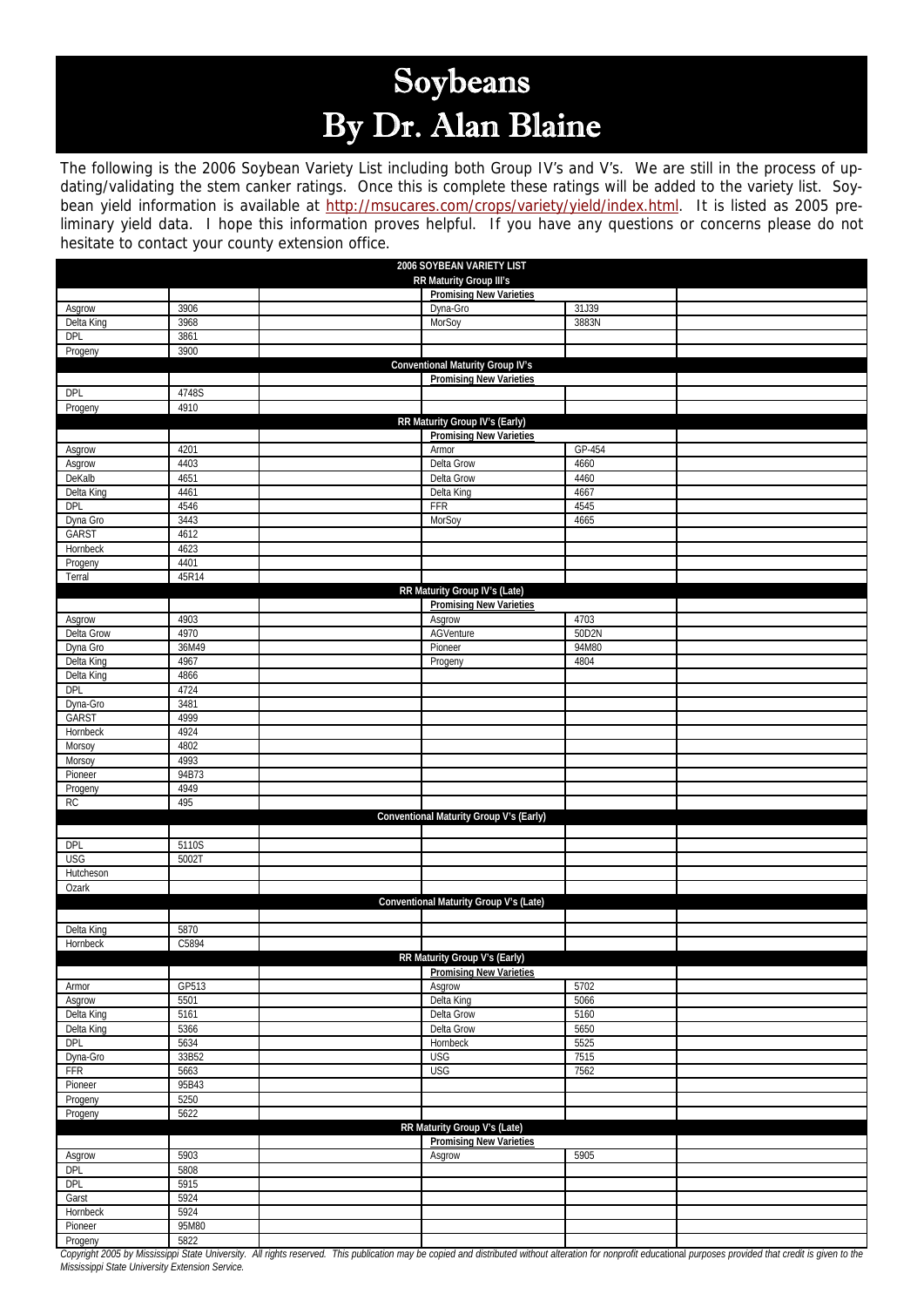# Soybeans By Dr. Alan Blaine

The following is the 2006 Soybean Variety List including both Group IV's and V's. We are still in the process of updating/validating the stem canker ratings. Once this is complete these ratings will be added to the variety list. Soybean yield information is available at http://msucares.com/crops/variety/yield/index.html. It is listed as 2005 preliminary yield data. I hope this information proves helpful. If you have any questions or concerns please do not hesitate to contact your county extension office.

| 2006 SOYBEAN VARIETY LIST      |               |  |                                                                  |        |  |  |  |  |
|--------------------------------|---------------|--|------------------------------------------------------------------|--------|--|--|--|--|
|                                |               |  | RR Maturity Group III's<br><b>Promising New Varieties</b>        |        |  |  |  |  |
| Asgrow                         | 3906          |  | Dyna-Gro                                                         | 31J39  |  |  |  |  |
| Delta King                     | 3968          |  | MorSoy                                                           | 3883N  |  |  |  |  |
| DPL                            | 3861          |  |                                                                  |        |  |  |  |  |
| Progeny                        | 3900          |  |                                                                  |        |  |  |  |  |
|                                |               |  | Conventional Maturity Group IV's                                 |        |  |  |  |  |
|                                |               |  | <b>Promising New Varieties</b>                                   |        |  |  |  |  |
| DPL                            | 4748S         |  |                                                                  |        |  |  |  |  |
| Progeny                        | 4910          |  |                                                                  |        |  |  |  |  |
|                                |               |  | RR Maturity Group IV's (Early)<br><b>Promising New Varieties</b> |        |  |  |  |  |
| Asgrow                         | 4201          |  | Armor                                                            | GP-454 |  |  |  |  |
| Asgrow                         | 4403          |  | Delta Grow                                                       | 4660   |  |  |  |  |
| DeKalb                         | 4651          |  | Delta Grow                                                       | 4460   |  |  |  |  |
| Delta King                     | 4461          |  | Delta King                                                       | 4667   |  |  |  |  |
| DPL                            | 4546          |  | <b>FFR</b>                                                       | 4545   |  |  |  |  |
| Dyna Gro                       | 3443          |  | MorSoy                                                           | 4665   |  |  |  |  |
| GARST                          | 4612          |  |                                                                  |        |  |  |  |  |
| Hornbeck                       | 4623          |  |                                                                  |        |  |  |  |  |
| Progeny                        | 4401          |  |                                                                  |        |  |  |  |  |
| Terral                         | 45R14         |  |                                                                  |        |  |  |  |  |
|                                |               |  | RR Maturity Group IV's (Late)<br><b>Promising New Varieties</b>  |        |  |  |  |  |
| Asgrow                         | 4903          |  | Asgrow                                                           | 4703   |  |  |  |  |
| Delta Grow                     | 4970          |  | AGVenture                                                        | 50D2N  |  |  |  |  |
| Dyna Gro                       | 36M49         |  | Pioneer                                                          | 94M80  |  |  |  |  |
| Delta King                     | 4967          |  | Progeny                                                          | 4804   |  |  |  |  |
| Delta King                     | 4866          |  |                                                                  |        |  |  |  |  |
| DPL                            | 4724          |  |                                                                  |        |  |  |  |  |
| Dyna-Gro                       | 3481          |  |                                                                  |        |  |  |  |  |
| GARST                          | 4999          |  |                                                                  |        |  |  |  |  |
| Hornbeck                       | 4924          |  |                                                                  |        |  |  |  |  |
| Morsoy                         | 4802          |  |                                                                  |        |  |  |  |  |
| Morsoy                         | 4993          |  |                                                                  |        |  |  |  |  |
| Pioneer                        | 94B73<br>4949 |  |                                                                  |        |  |  |  |  |
| Progeny<br>RC                  | 495           |  |                                                                  |        |  |  |  |  |
|                                |               |  | Conventional Maturity Group V's (Early)                          |        |  |  |  |  |
|                                |               |  |                                                                  |        |  |  |  |  |
| DPL                            | 5110S         |  |                                                                  |        |  |  |  |  |
| <b>USG</b>                     | 5002T         |  |                                                                  |        |  |  |  |  |
| Hutcheson                      |               |  |                                                                  |        |  |  |  |  |
| Ozark                          |               |  |                                                                  |        |  |  |  |  |
|                                |               |  | Conventional Maturity Group V's (Late)                           |        |  |  |  |  |
|                                |               |  |                                                                  |        |  |  |  |  |
| Delta King<br>Hornbeck         | 5870<br>C5894 |  |                                                                  |        |  |  |  |  |
|                                |               |  | RR Maturity Group V's (Early)                                    |        |  |  |  |  |
|                                |               |  | <b>Promising New Varieties</b>                                   |        |  |  |  |  |
| Armor                          | GP513         |  | Asgrow                                                           | 5702   |  |  |  |  |
| Asgrow                         | 5501          |  | Delta King                                                       | 5066   |  |  |  |  |
| Delta King                     | 5161          |  | Delta Grow                                                       | 5160   |  |  |  |  |
| Delta King                     | 5366          |  | Delta Grow                                                       | 5650   |  |  |  |  |
| DPL                            | 5634          |  | Hornbeck                                                         | 5525   |  |  |  |  |
| Dyna-Gro                       | 33B52         |  | <b>USG</b>                                                       | 7515   |  |  |  |  |
| FFR                            | 5663          |  | <b>USG</b>                                                       | 7562   |  |  |  |  |
| Pioneer<br>Progeny             | 95B43<br>5250 |  |                                                                  |        |  |  |  |  |
| Progeny                        | 5622          |  |                                                                  |        |  |  |  |  |
|                                |               |  | RR Maturity Group V's (Late)                                     |        |  |  |  |  |
| <b>Promising New Varieties</b> |               |  |                                                                  |        |  |  |  |  |
| Asgrow                         | 5903          |  | Asgrow                                                           | 5905   |  |  |  |  |
| <b>DPL</b>                     | 5808          |  |                                                                  |        |  |  |  |  |
| <b>DPL</b>                     | 5915          |  |                                                                  |        |  |  |  |  |
| Garst                          | 5924          |  |                                                                  |        |  |  |  |  |
| Hornbeck                       | 5924          |  |                                                                  |        |  |  |  |  |
| Pioneer                        | 95M80         |  |                                                                  |        |  |  |  |  |
| Progeny                        | 5822          |  |                                                                  |        |  |  |  |  |

*Copyright 2005 by Mississippi State University. All rights reserved. This publication may be copied and distributed without alteration for nonprofit educ*ational *purposes provided that credit is given to the Mississippi State University Extension Service.*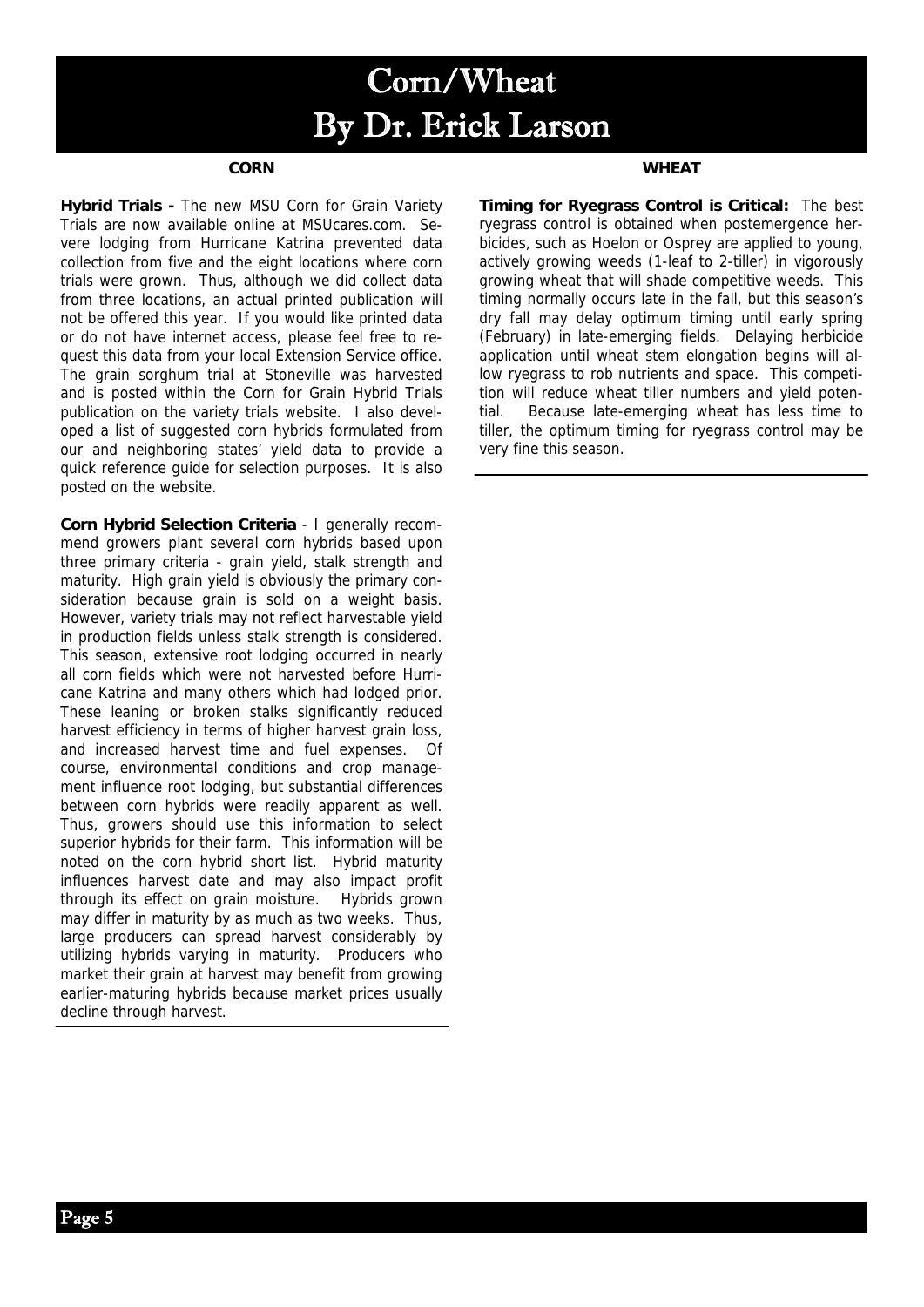# Corn/Wheat By Dr. Erick Larson

#### **CORN**

**Hybrid Trials -** The new MSU Corn for Grain Variety Trials are now available online at MSUcares.com. Severe lodging from Hurricane Katrina prevented data collection from five and the eight locations where corn trials were grown. Thus, although we did collect data from three locations, an actual printed publication will not be offered this year. If you would like printed data or do not have internet access, please feel free to request this data from your local Extension Service office. The grain sorghum trial at Stoneville was harvested and is posted within the Corn for Grain Hybrid Trials publication on the variety trials website. I also developed a list of suggested corn hybrids formulated from our and neighboring states' yield data to provide a quick reference guide for selection purposes. It is also posted on the website.

**Corn Hybrid Selection Criteria** - I generally recommend growers plant several corn hybrids based upon three primary criteria - grain yield, stalk strength and maturity. High grain yield is obviously the primary consideration because grain is sold on a weight basis. However, variety trials may not reflect harvestable yield in production fields unless stalk strength is considered. This season, extensive root lodging occurred in nearly all corn fields which were not harvested before Hurricane Katrina and many others which had lodged prior. These leaning or broken stalks significantly reduced harvest efficiency in terms of higher harvest grain loss, and increased harvest time and fuel expenses. Of course, environmental conditions and crop management influence root lodging, but substantial differences between corn hybrids were readily apparent as well. Thus, growers should use this information to select superior hybrids for their farm. This information will be noted on the corn hybrid short list. Hybrid maturity influences harvest date and may also impact profit through its effect on grain moisture. Hybrids grown may differ in maturity by as much as two weeks. Thus, large producers can spread harvest considerably by utilizing hybrids varying in maturity. Producers who market their grain at harvest may benefit from growing earlier-maturing hybrids because market prices usually decline through harvest.

#### **WHEAT**

**Timing for Ryegrass Control is Critical:** The best ryegrass control is obtained when postemergence herbicides, such as Hoelon or Osprey are applied to young, actively growing weeds (1-leaf to 2-tiller) in vigorously growing wheat that will shade competitive weeds. This timing normally occurs late in the fall, but this season's dry fall may delay optimum timing until early spring (February) in late-emerging fields. Delaying herbicide application until wheat stem elongation begins will allow ryegrass to rob nutrients and space. This competition will reduce wheat tiller numbers and yield potential. Because late-emerging wheat has less time to tiller, the optimum timing for ryegrass control may be very fine this season.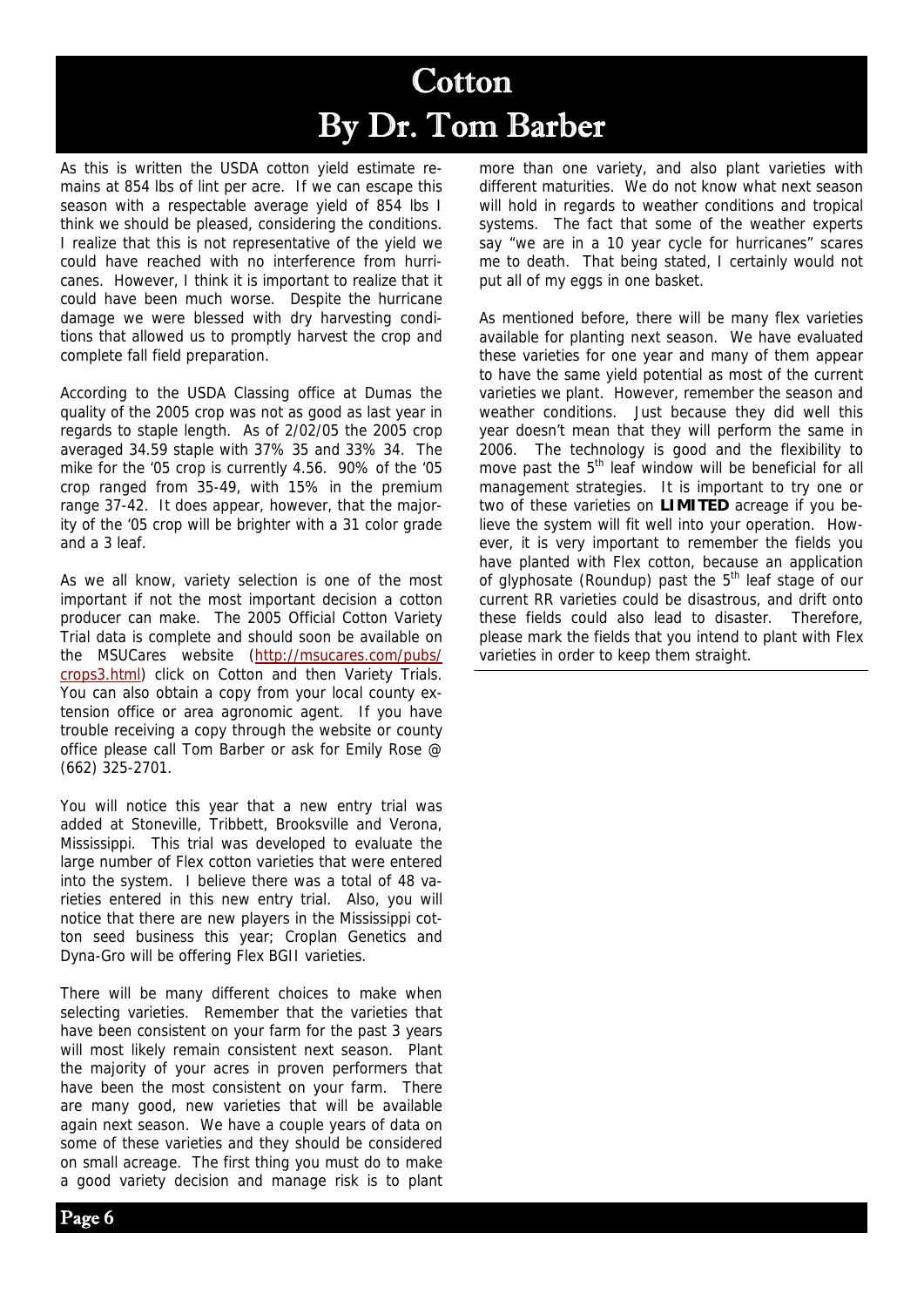## Cotton By Dr. Tom Barber

As this is written the USDA cotton yield estimate remains at 854 lbs of lint per acre. If we can escape this season with a respectable average yield of 854 lbs I think we should be pleased, considering the conditions. I realize that this is not representative of the yield we could have reached with no interference from hurricanes. However, I think it is important to realize that it could have been much worse. Despite the hurricane damage we were blessed with dry harvesting conditions that allowed us to promptly harvest the crop and complete fall field preparation.

According to the USDA Classing office at Dumas the quality of the 2005 crop was not as good as last year in regards to staple length. As of 2/02/05 the 2005 crop averaged 34.59 staple with 37% 35 and 33% 34. The mike for the '05 crop is currently 4.56. 90% of the '05 crop ranged from 35-49, with 15% in the premium range 37-42. It does appear, however, that the majority of the '05 crop will be brighter with a 31 color grade and a 3 leaf.

As we all know, variety selection is one of the most important if not the most important decision a cotton producer can make. The 2005 Official Cotton Variety Trial data is complete and should soon be available on the MSUCares website (http://msucares.com/pubs/ crops3.html) click on Cotton and then Variety Trials. You can also obtain a copy from your local county extension office or area agronomic agent. If you have trouble receiving a copy through the website or county office please call Tom Barber or ask for Emily Rose @ (662) 325-2701.

You will notice this year that a new entry trial was added at Stoneville, Tribbett, Brooksville and Verona, Mississippi. This trial was developed to evaluate the large number of Flex cotton varieties that were entered into the system. I believe there was a total of 48 varieties entered in this new entry trial. Also, you will notice that there are new players in the Mississippi cotton seed business this year; Croplan Genetics and Dyna-Gro will be offering Flex BGII varieties.

There will be many different choices to make when selecting varieties. Remember that the varieties that have been consistent on your farm for the past 3 years will most likely remain consistent next season. Plant the majority of your acres in proven performers that have been the most consistent on your farm. There are many good, new varieties that will be available again next season. We have a couple years of data on some of these varieties and they should be considered on small acreage. The first thing you must do to make a good variety decision and manage risk is to plant more than one variety, and also plant varieties with different maturities. We do not know what next season will hold in regards to weather conditions and tropical systems. The fact that some of the weather experts say "we are in a 10 year cycle for hurricanes" scares me to death. That being stated, I certainly would not put all of my eggs in one basket.

As mentioned before, there will be many flex varieties available for planting next season. We have evaluated these varieties for one year and many of them appear to have the same yield potential as most of the current varieties we plant. However, remember the season and weather conditions. Just because they did well this year doesn't mean that they will perform the same in 2006. The technology is good and the flexibility to move past the  $5<sup>th</sup>$  leaf window will be beneficial for all management strategies. It is important to try one or two of these varieties on **LIMITED** acreage if you believe the system will fit well into your operation. However, it is very important to remember the fields you have planted with Flex cotton, because an application of glyphosate (Roundup) past the  $5<sup>th</sup>$  leaf stage of our current RR varieties could be disastrous, and drift onto these fields could also lead to disaster. Therefore, please mark the fields that you intend to plant with Flex varieties in order to keep them straight.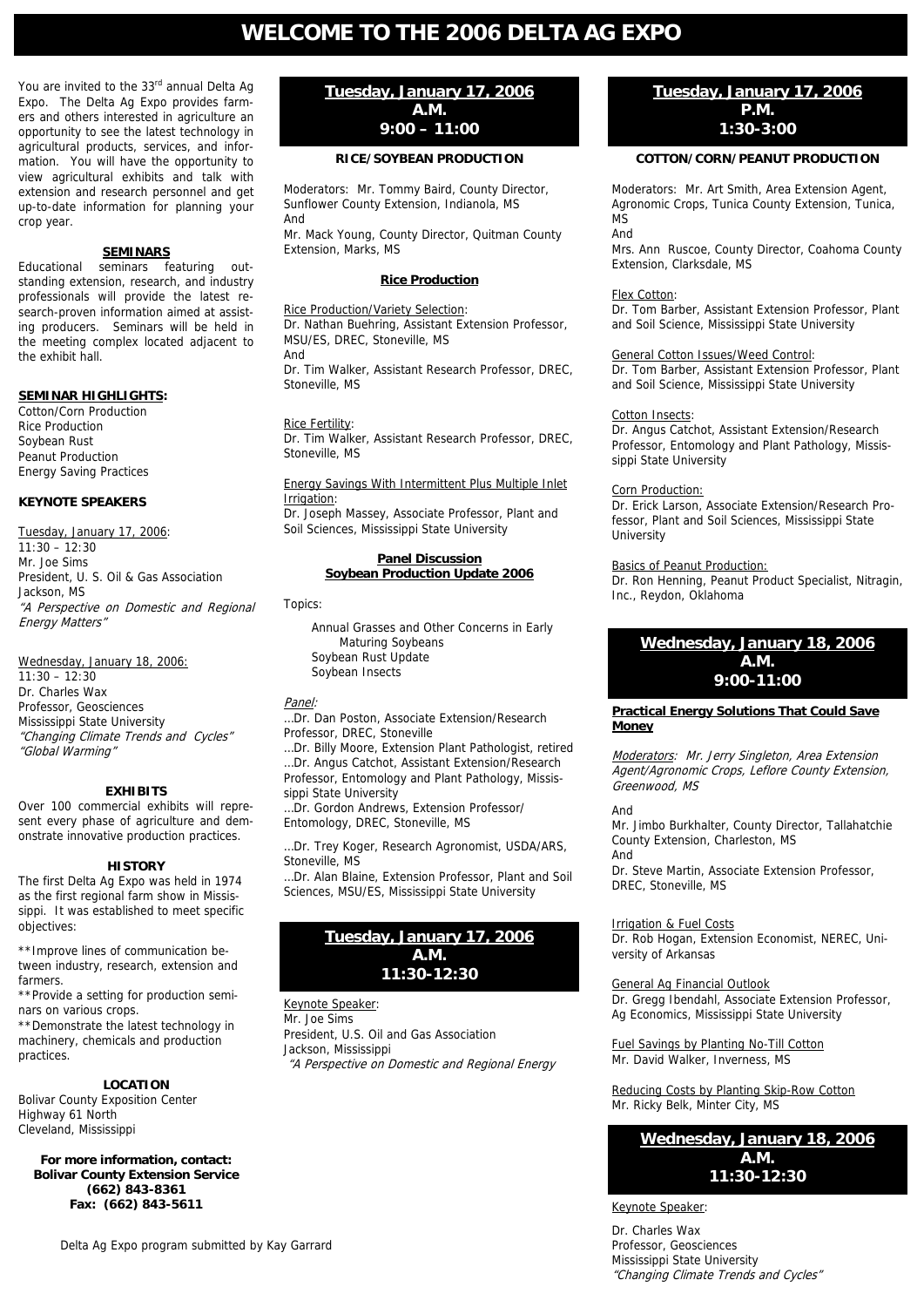### **WELCOME TO THE 2006 DELTA AG EXPO**

You are invited to the 33rd annual Delta Ag Expo. The Delta Ag Expo provides farmers and others interested in agriculture an opportunity to see the latest technology in agricultural products, services, and information. You will have the opportunity to view agricultural exhibits and talk with extension and research personnel and get up-to-date information for planning your crop year.

#### **SEMINARS**

Educational seminars featuring outstanding extension, research, and industry professionals will provide the latest research-proven information aimed at assisting producers. Seminars will be held in the meeting complex located adjacent to the exhibit hall.

#### **SEMINAR HIGHLIGHTS:**

Cotton/Corn Production Rice Production Soybean Rust Peanut Production Energy Saving Practices

#### **KEYNOTE SPEAKERS**

Tuesday, January 17, 2006:  $11:30 - 12:30$ Mr. Joe Sims President, U. S. Oil & Gas Association Jackson, MS "A Perspective on Domestic and Regional Energy Matters"

Wednesday, January 18, 2006:  $11:30 - 12:30$ Dr. Charles Wax Professor, Geosciences Mississippi State University "Changing Climate Trends and Cycles" "Global Warming"

#### **EXHIBITS**

Over 100 commercial exhibits will represent every phase of agriculture and demonstrate innovative production practices.

#### **HISTORY**

The first Delta Ag Expo was held in 1974 as the first regional farm show in Mississippi. It was established to meet specific objectives:

\*\*Improve lines of communication between industry, research, extension and farmers.

\*\*Provide a setting for production seminars on various crops.

\*\*Demonstrate the latest technology in machinery, chemicals and production practices.

#### **LOCATION**

Bolivar County Exposition Center Highway 61 North Cleveland, Mississippi

**For more information, contact: Bolivar County Extension Service (662) 843-8361 Fax: (662) 843-5611** 

#### **Tuesday, January 17, 2006 A.M. 9:00 – 11:00**

#### **RICE/SOYBEAN PRODUCTION**

Moderators: Mr. Tommy Baird, County Director, Sunflower County Extension, Indianola, MS And

Mr. Mack Young, County Director, Quitman County Extension, Marks, MS

#### **Rice Production**

#### Rice Production/Variety Selection:

Dr. Nathan Buehring, Assistant Extension Professor, MSU/ES, DREC, Stoneville, MS

And

Dr. Tim Walker, Assistant Research Professor, DREC, Stoneville, MS

#### Rice Fertility:

Dr. Tim Walker, Assistant Research Professor, DREC, Stoneville, MS

#### Energy Savings With Intermittent Plus Multiple Inlet Irrigation:

Dr. Joseph Massey, Associate Professor, Plant and Soil Sciences, Mississippi State University

#### **Panel Discussion Soybean Production Update 2006**

Topics:

Annual Grasses and Other Concerns in Early Maturing Soybeans Soybean Rust Update Soybean Insects

#### Panel:

…Dr. Dan Poston, Associate Extension/Research Professor, DREC, Stoneville

…Dr. Billy Moore, Extension Plant Pathologist, retired …Dr. Angus Catchot, Assistant Extension/Research Professor, Entomology and Plant Pathology, Mississippi State University …Dr. Gordon Andrews, Extension Professor/ Entomology, DREC, Stoneville, MS

…Dr. Trey Koger, Research Agronomist, USDA/ARS, Stoneville, MS

…Dr. Alan Blaine, Extension Professor, Plant and Soil Sciences, MSU/ES, Mississippi State University

#### **Tuesday, January 17, 2006 A.M. 11:30-12:30**

Keynote Speaker: Mr. Joe Sims President, U.S. Oil and Gas Association Jackson, Mississippi "A Perspective on Domestic and Regional Energy

#### **Tuesday, January 17, 2006 P.M. 1:30-3:00**

#### **COTTON/CORN/PEANUT PRODUCTION**

Moderators: Mr. Art Smith, Area Extension Agent, Agronomic Crops, Tunica County Extension, Tunica, M<sub>S</sub>

And

Mrs. Ann Ruscoe, County Director, Coahoma County Extension, Clarksdale, MS

#### Flex Cotton:

Dr. Tom Barber, Assistant Extension Professor, Plant and Soil Science, Mississippi State University

#### General Cotton Issues/Weed Control:

Dr. Tom Barber, Assistant Extension Professor, Plant and Soil Science, Mississippi State University

#### Cotton Insects:

Dr. Angus Catchot, Assistant Extension/Research Professor, Entomology and Plant Pathology, Mississippi State University

#### Corn Production:

Dr. Erick Larson, Associate Extension/Research Professor, Plant and Soil Sciences, Mississippi State **University** 

#### **Basics of Peanut Production:**

Dr. Ron Henning, Peanut Product Specialist, Nitragin, Inc., Reydon, Oklahoma

#### **Wednesday, January 18, 2006 A.M. 9:00-11:00**

#### **Practical Energy Solutions That Could Save Money**

Moderators: Mr. Jerry Singleton, Area Extension Agent/Agronomic Crops, Leflore County Extension, Greenwood, MS

#### And

Mr. Jimbo Burkhalter, County Director, Tallahatchie County Extension, Charleston, MS And

Dr. Steve Martin, Associate Extension Professor, DREC, Stoneville, MS

#### Irrigation & Fuel Costs

Dr. Rob Hogan, Extension Economist, NEREC, University of Arkansas

#### General Ag Financial Outlook

Dr. Gregg Ibendahl, Associate Extension Professor, Ag Economics, Mississippi State University

Fuel Savings by Planting No-Till Cotton Mr. David Walker, Inverness, MS

Reducing Costs by Planting Skip-Row Cotton Mr. Ricky Belk, Minter City, MS

#### **Wednesday, January 18, 2006 A.M. 11:30-12:30**

Keynote Speaker:

Dr. Charles Wax Professor, Geosciences Mississippi State University "Changing Climate Trends and Cycles"